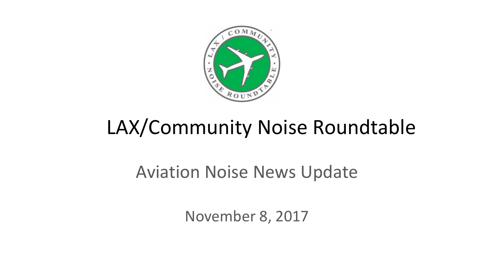

# LAX/Community Noise Roundtable

### Aviation Noise News Update

November 8, 2017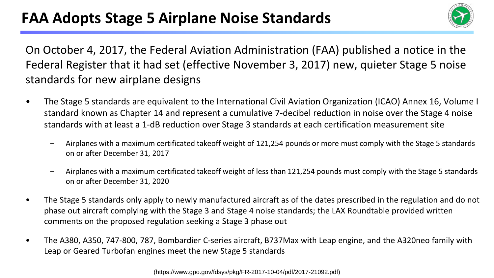

On October 4, 2017, the Federal Aviation Administration (FAA) published a notice in the Federal Register that it had set (effective November 3, 2017) new, quieter Stage 5 noise standards for new airplane designs

- The Stage 5 standards are equivalent to the International Civil Aviation Organization (ICAO) Annex 16, Volume I standard known as Chapter 14 and represent a cumulative 7-decibel reduction in noise over the Stage 4 noise standards with at least a 1-dB reduction over Stage 3 standards at each certification measurement site
	- Airplanes with a maximum certificated takeoff weight of 121,254 pounds or more must comply with the Stage 5 standards on or after December 31, 2017
	- Airplanes with a maximum certificated takeoff weight of less than 121,254 pounds must comply with the Stage 5 standards on or after December 31, 2020
- The Stage 5 standards only apply to newly manufactured aircraft as of the dates prescribed in the regulation and do not phase out aircraft complying with the Stage 3 and Stage 4 noise standards; the LAX Roundtable provided written comments on the proposed regulation seeking a Stage 3 phase out
- The A380, A350, 747-800, 787, Bombardier C-series aircraft, B737Max with Leap engine, and the A320neo family with Leap or Geared Turbofan engines meet the new Stage 5 standards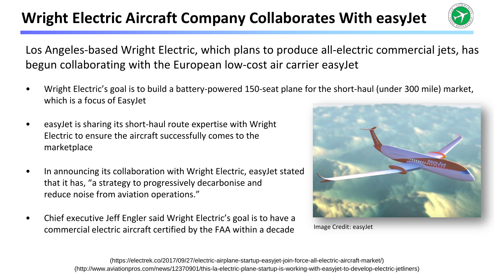#### Wright Electric Aircraft Company Collaborates With easyJet



Los Angeles-based Wright Electric, which plans to produce all-electric commercial jets, has begun collaborating with the European low-cost air carrier easyJet

- Wright Electric's goal is to build a battery-powered 150-seat plane for the short-haul (under 300 mile) market, which is a focus of EasyJet
- easyJet is sharing its short-haul route expertise with Wright Electric to ensure the aircraft successfully comes to the marketplace
- In announcing its collaboration with Wright Electric, easyJet stated that it has, "a strategy to progressively decarbonise and reduce noise from aviation operations."
- Chief executive Jeff Engler said Wright Electric's goal is to have a commercial electric aircraft certified by the FAA within a decade



Image Credit: easyJet

(http://www.aviationpros.com/news/12370901/this-la-electric-plane-startup-is-working-with-easyjet-to-develop-electric-jetliners) (https://electrek.co/2017/09/27/electric-airplane-startup-easyjet-join-force-all-electric-aircraft-market/)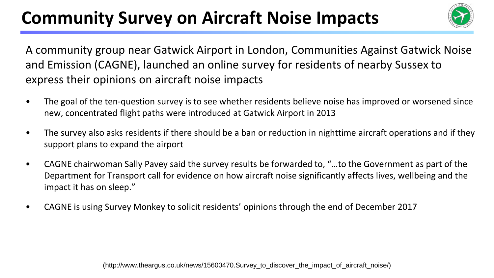## **Community Survey on Aircraft Noise Impacts**



A community group near Gatwick Airport in London, Communities Against Gatwick Noise and Emission (CAGNE), launched an online survey for residents of nearby Sussex to express their opinions on aircraft noise impacts

- The goal of the ten-question survey is to see whether residents believe noise has improved or worsened since new, concentrated flight paths were introduced at Gatwick Airport in 2013
- The survey also asks residents if there should be a ban or reduction in nighttime aircraft operations and if they support plans to expand the airport
- CAGNE chairwoman Sally Pavey said the survey results be forwarded to, "…to the Government as part of the Department for Transport call for evidence on how aircraft noise significantly affects lives, wellbeing and the impact it has on sleep."
- CAGNE is using Survey Monkey to solicit residents' opinions through the end of December 2017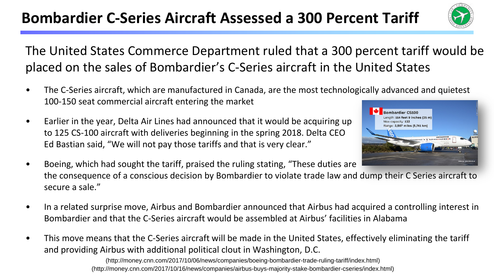#### **Bombardier C-Series Aircraft Assessed a 300 Percent Tariff**



The United States Commerce Department ruled that a 300 percent tariff would be placed on the sales of Bombardier's C-Series aircraft in the United States

- The C-Series aircraft, which are manufactured in Canada, are the most technologically advanced and quietest 100-150 seat commercial aircraft entering the market
- Earlier in the year, Delta Air Lines had announced that it would be acquiring up to 125 CS-100 aircraft with deliveries beginning in the spring 2018. Delta CEO Ed Bastian said, "We will not pay those tariffs and that is very clear."



- Boeing, which had sought the tariff, praised the ruling stating, "These duties are the consequence of a conscious decision by Bombardier to violate trade law and dump their C Series aircraft to secure a sale."
- In a related surprise move, Airbus and Bombardier announced that Airbus had acquired a controlling interest in Bombardier and that the C-Series aircraft would be assembled at Airbus' facilities in Alabama
- This move means that the C-Series aircraft will be made in the United States, effectively eliminating the tariff and providing Airbus with additional political clout in Washington, D.C.

(http://money.cnn.com/2017/10/06/news/companies/boeing-bombardier-trade-ruling-tariff/index.html) (http://money.cnn.com/2017/10/16/news/companies/airbus-buys-majority-stake-bombardier-cseries/index.html)